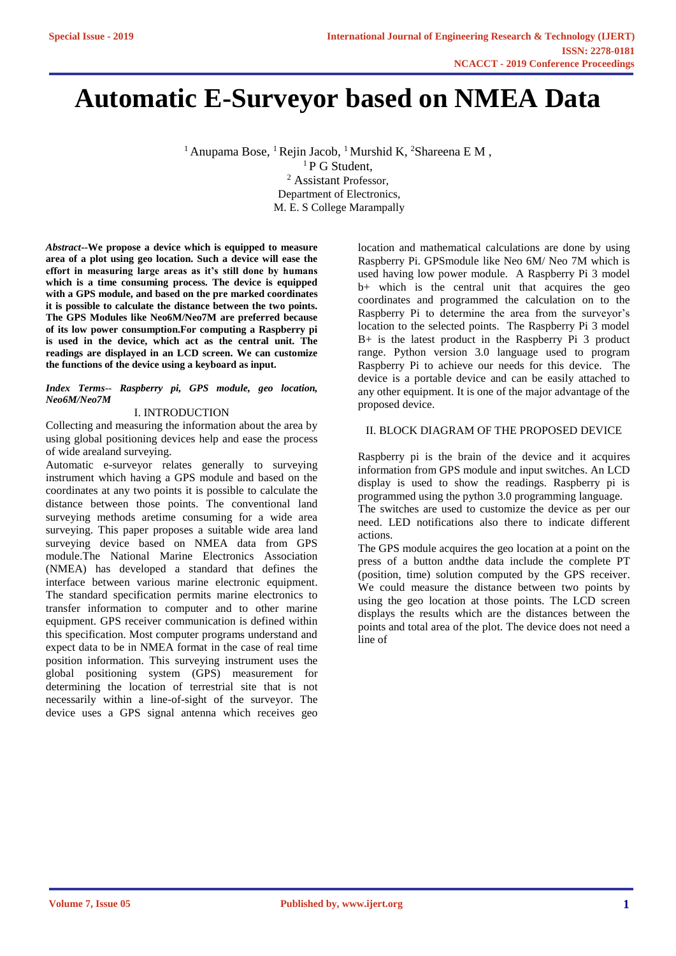# **Automatic E-Surveyor based on NMEA Data**

<sup>1</sup> Anupama Bose, <sup>1</sup> Rejin Jacob, <sup>1</sup> Murshid K, <sup>2</sup> Shareena E M,

<sup>1</sup> P G Student, <sup>2</sup> Assistant Professor, Department of Electronics, M. E. S College Marampally

*Abstract***--We propose a device which is equipped to measure area of a plot using geo location. Such a device will ease the effort in measuring large areas as it's still done by humans which is a time consuming process. The device is equipped with a GPS module, and based on the pre marked coordinates it is possible to calculate the distance between the two points. The GPS Modules like Neo6M/Neo7M are preferred because of its low power consumption.For computing a Raspberry pi is used in the device, which act as the central unit. The readings are displayed in an LCD screen. We can customize the functions of the device using a keyboard as input.**

#### *Index Terms-- Raspberry pi, GPS module, geo location, Neo6M/Neo7M*

### I. INTRODUCTION

Collecting and measuring the information about the area by using global positioning devices help and ease the process of wide arealand surveying.

Automatic e-surveyor relates generally to surveying instrument which having a GPS module and based on the coordinates at any two points it is possible to calculate the distance between those points. The conventional land surveying methods aretime consuming for a wide area surveying. This paper proposes a suitable wide area land surveying device based on NMEA data from GPS module.The National Marine Electronics Association (NMEA) has developed a standard that defines the interface between various marine electronic equipment. The standard specification permits marine electronics to transfer information to computer and to other marine equipment. GPS receiver communication is defined within this specification. Most computer programs understand and expect data to be in NMEA format in the case of real time position information. This surveying instrument uses the global positioning system (GPS) measurement for determining the location of terrestrial site that is not necessarily within a line-of-sight of the surveyor. The device uses a GPS signal antenna which receives geo

location and mathematical calculations are done by using Raspberry Pi. GPSmodule like Neo 6M/ Neo 7M which is used having low power module. A Raspberry Pi 3 model b+ which is the central unit that acquires the geo coordinates and programmed the calculation on to the Raspberry Pi to determine the area from the surveyor's location to the selected points. The Raspberry Pi 3 model B+ is the latest product in the Raspberry Pi 3 product range. Python version 3.0 language used to program Raspberry Pi to achieve our needs for this device. The device is a portable device and can be easily attached to any other equipment. It is one of the major advantage of the proposed device.

## II. BLOCK DIAGRAM OF THE PROPOSED DEVICE

Raspberry pi is the brain of the device and it acquires information from GPS module and input switches. An LCD display is used to show the readings. Raspberry pi is programmed using the python 3.0 programming language.

The switches are used to customize the device as per our need. LED notifications also there to indicate different actions.

The GPS module acquires the geo location at a point on the press of a button andthe data include the complete PT (position, time) solution computed by the GPS receiver. We could measure the distance between two points by using the geo location at those points. The LCD screen displays the results which are the distances between the points and total area of the plot. The device does not need a line of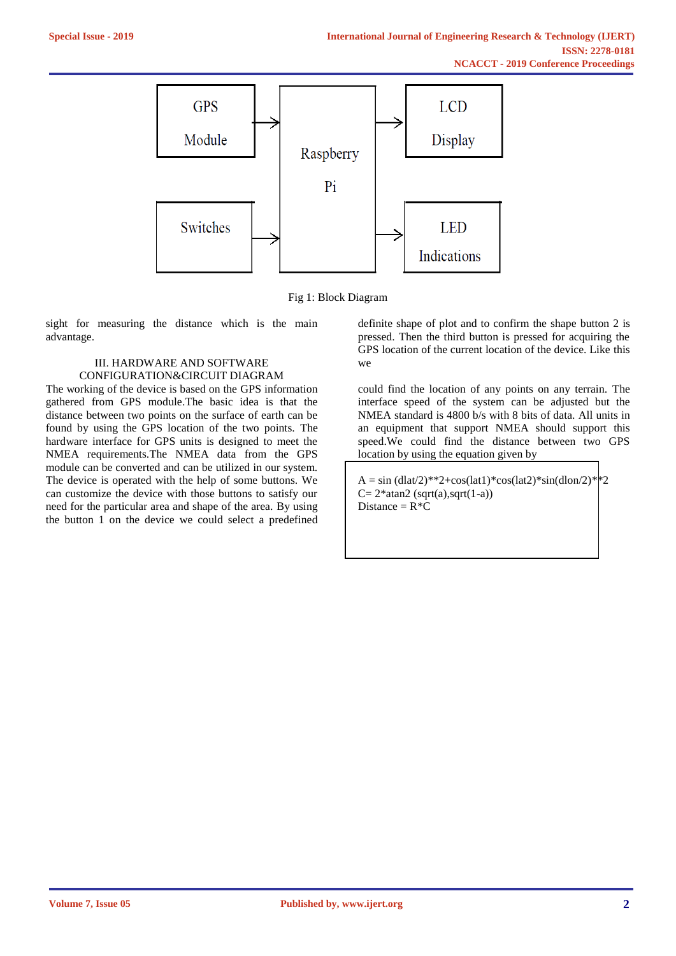

Fig 1: Block Diagram

sight for measuring the distance which is the main advantage.

#### III. HARDWARE AND SOFTWARE CONFIGURATION&CIRCUIT DIAGRAM

The working of the device is based on the GPS information gathered from GPS module.The basic idea is that the distance between two points on the surface of earth can be found by using the GPS location of the two points. The hardware interface for GPS units is designed to meet the NMEA requirements.The NMEA data from the GPS module can be converted and can be utilized in our system. The device is operated with the help of some buttons. We can customize the device with those buttons to satisfy our need for the particular area and shape of the area. By using the button 1 on the device we could select a predefined

definite shape of plot and to confirm the shape button 2 is pressed. Then the third button is pressed for acquiring the GPS location of the current location of the device. Like this we

could find the location of any points on any terrain. The interface speed of the system can be adjusted but the NMEA standard is 4800 b/s with 8 bits of data. All units in an equipment that support NMEA should support this speed.We could find the distance between two GPS location by using the equation given by

 $A = \sin{(dlat/2)}^{**}2 + \cos(lat1)^* \cos(lat2)^* \sin(dlon/2)^*$ <sup>2</sup>  $C= 2*atan2$  (sqrt(a),sqrt(1-a)) Distance =  $R^*C$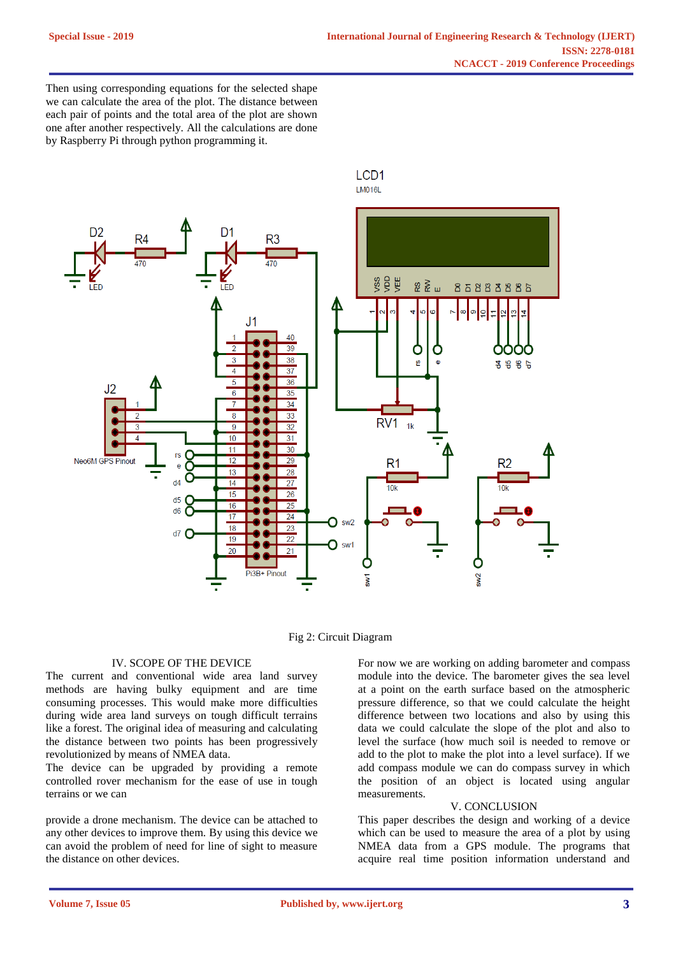Then using corresponding equations for the selected shape we can calculate the area of the plot. The distance between each pair of points and the total area of the plot are shown one after another respectively. All the calculations are done by Raspberry Pi through python programming it.





#### IV. SCOPE OF THE DEVICE

The current and conventional wide area land survey methods are having bulky equipment and are time consuming processes. This would make more difficulties during wide area land surveys on tough difficult terrains like a forest. The original idea of measuring and calculating the distance between two points has been progressively revolutionized by means of NMEA data.

The device can be upgraded by providing a remote controlled rover mechanism for the ease of use in tough terrains or we can

provide a drone mechanism. The device can be attached to any other devices to improve them. By using this device we can avoid the problem of need for line of sight to measure the distance on other devices.

For now we are working on adding barometer and compass module into the device. The barometer gives the sea level at a point on the earth surface based on the atmospheric pressure difference, so that we could calculate the height difference between two locations and also by using this data we could calculate the slope of the plot and also to level the surface (how much soil is needed to remove or add to the plot to make the plot into a level surface). If we add compass module we can do compass survey in which the position of an object is located using angular measurements.

#### V. CONCLUSION

This paper describes the design and working of a device which can be used to measure the area of a plot by using NMEA data from a GPS module. The programs that acquire real time position information understand and